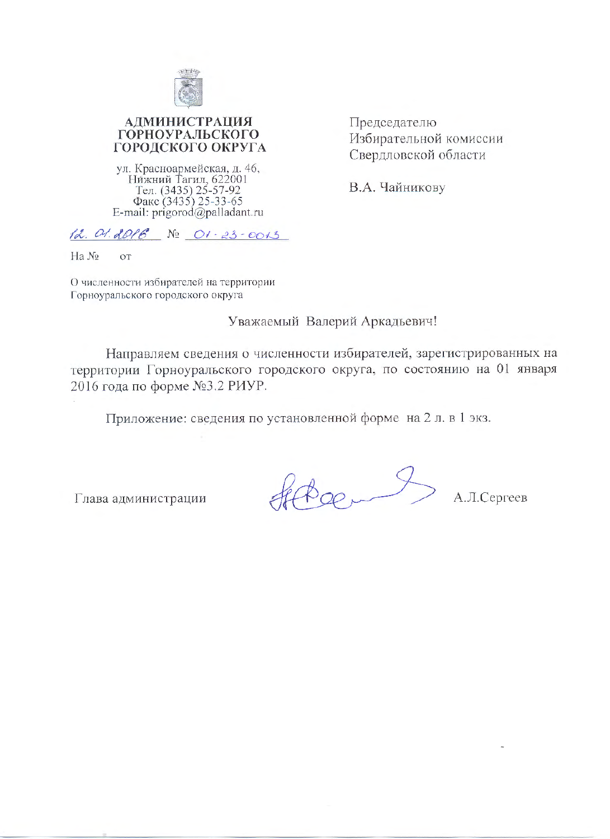

# **АДМИНИСТРАЦИЯ ГОРНОУРАЛЬСКОГО** ГОРОДСКОГО ОКРУГА

ул. Красноармейская, д. 46,<br>Нижний Тагил, 622001<br>Тел. (3435) 25-57-92<br>Факс (3435) 25-33-65<br>E-mail: prigorod@palladant.ru

Председателю Избирательной комиссии Свердловской области

В.А. Чайникову

 $12.01.2016$  No  $01 - 23 - 0013$ 

Ha No OT

О численности избирателей на территории Горноуральского городского округа

# Уважаемый Валерий Аркадьевич!

Направляем сведения о численности избирателей, зарегистрированных на территории Горноуральского городского округа, по состоянию на 01 января 2016 года по форме №3.2 РИУР.

Приложение: сведения по установленной форме на 2 л. в 1 экз.

Глава администрации

Heter

А.Л.Сергеев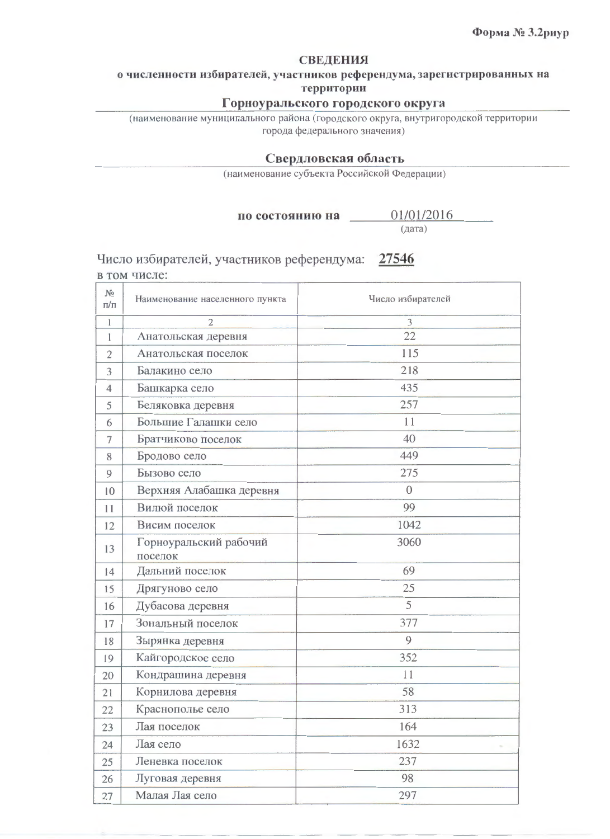#### **СВЕДЕНИЯ**

о численности избирателей, участников референдума, зарегистрированных на территории

## Горноуральского городского округа

(наименование муниципального района (городского округа, внутригородской территории города федерального значения)

## Свердловская область

(наименование субъекта Российской Федерации)

по состоянию на

(дата)

01/01/2016

Число избирателей, участников референдума: 27546 в том числе:

| N <sub>2</sub><br>$\Pi/\Pi$ | Наименование населенного пункта   | Число избирателей |
|-----------------------------|-----------------------------------|-------------------|
| 1                           | $\overline{2}$                    | 3                 |
| I                           | Анатольская деревня               | 22                |
| 2                           | Анатольская поселок               | 115               |
| 3                           | Балакино село                     | 218               |
| 4                           | Башкарка село                     | 435               |
| 5                           | Беляковка деревня                 | 257               |
| 6                           | Большие Галашки село              | 11                |
| 7                           | Братчиково поселок                | 40                |
| 8                           | Бродово село                      | 449               |
| 9                           | Бызово село                       | 275               |
| 10                          | Верхняя Алабашка деревня          | $\overline{0}$    |
| 11                          | Вилюй поселок                     | 99                |
| 12                          | Висим поселок                     | 1042              |
| 13                          | Горноуральский рабочий<br>поселок | 3060              |
| 14                          | Дальний поселок                   | 69                |
| 15                          | Дрягуново село                    | 25                |
| 16                          | Дубасова деревня                  | 5                 |
| 17                          | Зональный поселок                 | 377               |
| 18                          | Зырянка деревня                   | 9                 |
| 19                          | Кайгородское село                 | 352               |
| 20                          | Кондрашина деревня                | 11                |
| 21                          | Корнилова деревня                 | 58                |
| 22                          | Краснополье село                  | 313               |
| 23                          | Лая поселок                       | 164               |
| 24                          | Лая село                          | 1632              |
| 25                          | Леневка поселок                   | 237               |
| 26                          | Луговая деревня                   | 98                |
| 27                          | Малая Лая село                    | 297               |